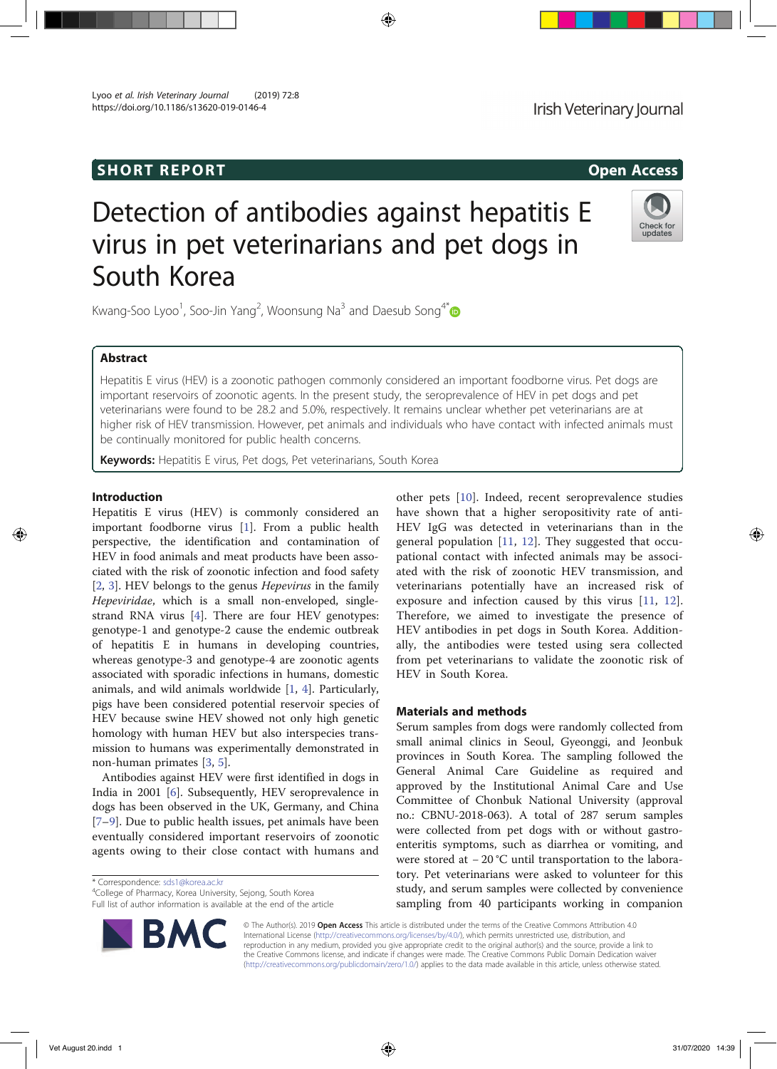# SHORT REPORT **Open Access**

Lyoo et al. Irish Veterinary Journal (2019) 72:8 https://doi.org/10.1186/s13620-019-0146-4

# Detection of antibodies against hepatitis E virus in pet veterinarians and pet dogs in South Korea

Kwang-Soo Lyoo<sup>1</sup>, Soo-Jin Yang<sup>2</sup>, Woonsung Na<sup>3</sup> and Daesub Song<sup>4\*</sup>

# Abstract

Hepatitis E virus (HEV) is a zoonotic pathogen commonly considered an important foodborne virus. Pet dogs are important reservoirs of zoonotic agents. In the present study, the seroprevalence of HEV in pet dogs and pet veterinarians were found to be 28.2 and 5.0%, respectively. It remains unclear whether pet veterinarians are at higher risk of HEV transmission. However, pet animals and individuals who have contact with infected animals must be continually monitored for public health concerns.

Keywords: Hepatitis E virus, Pet dogs, Pet veterinarians, South Korea

# Introduction

Hepatitis E virus (HEV) is commonly considered an important foodborne virus [1]. From a public health perspective, the identification and contamination of HEV in food animals and meat products have been associated with the risk of zoonotic infection and food safety [2, 3]. HEV belongs to the genus Hepevirus in the family Hepeviridae, which is a small non-enveloped, singlestrand RNA virus [4]. There are four HEV genotypes: genotype-1 and genotype-2 cause the endemic outbreak of hepatitis E in humans in developing countries, whereas genotype-3 and genotype-4 are zoonotic agents associated with sporadic infections in humans, domestic animals, and wild animals worldwide [1, 4]. Particularly, pigs have been considered potential reservoir species of HEV because swine HEV showed not only high genetic homology with human HEV but also interspecies transmission to humans was experimentally demonstrated in non-human primates [3, 5].

Antibodies against HEV were first identified in dogs in India in 2001 [6]. Subsequently, HEV seroprevalence in dogs has been observed in the UK, Germany, and China [7–9]. Due to public health issues, pet animals have been eventually considered important reservoirs of zoonotic agents owing to their close contact with humans and

\* Correspondence: sds1@korea.ac.kr <sup>4</sup>

RМ

<sup>4</sup>College of Pharmacy, Korea University, Sejong, South Korea Full list of author information is available at the end of the article small animal clinics in Seoul, Gyeonggi, and Jeonbuk provinces in South Korea. The sampling followed the General Animal Care Guideline as required and approved by the Institutional Animal Care and Use Committee of Chonbuk National University (approval no.: CBNU-2018-063). A total of 287 serum samples were collected from pet dogs with or without gastroenteritis symptoms, such as diarrhea or vomiting, and

Serum samples from dogs were randomly collected from

other pets [10]. Indeed, recent seroprevalence studies have shown that a higher seropositivity rate of anti-HEV IgG was detected in veterinarians than in the general population [11, 12]. They suggested that occupational contact with infected animals may be associated with the risk of zoonotic HEV transmission, and veterinarians potentially have an increased risk of exposure and infection caused by this virus [11, 12]. Therefore, we aimed to investigate the presence of HEV antibodies in pet dogs in South Korea. Additionally, the antibodies were tested using sera collected from pet veterinarians to validate the zoonotic risk of

were stored at − 20 °C until transportation to the laboratory. Pet veterinarians were asked to volunteer for this study, and serum samples were collected by convenience sampling from 40 participants working in companion

© The Author(s). 2019 Open Access This article is distributed under the terms of the Creative Commons Attribution 4.0 International License (http://creativecommons.org/licenses/by/4.0/), which permits unrestricted use, distribution, and reproduction in any medium, provided you give appropriate credit to the original author(s) and the source, provide a link to the Creative Commons license, and indicate if changes were made. The Creative Commons Public Domain Dedication waiver (http://creativecommons.org/publicdomain/zero/1.0/) applies to the data made available in this article, unless otherwise stated.

HEV in South Korea.

Materials and methods





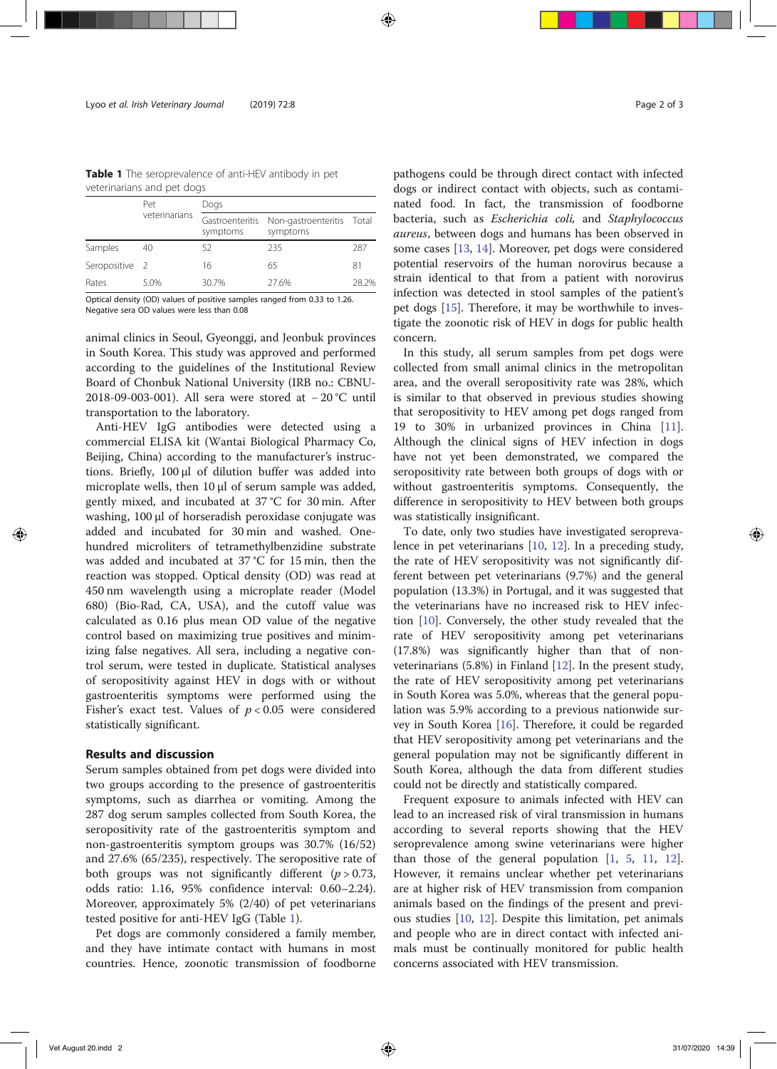Table 1 The seroprevalence of anti-HEV antibody in pet veterinarians and pet dogs

|                | Pet<br>veterinarians | Dogs     |                                                 |       |
|----------------|----------------------|----------|-------------------------------------------------|-------|
|                |                      | symptoms | Gastroenteritis Non-gastroenteritis<br>symptoms | Total |
| Samples        | 40                   | 52       | 235                                             | 287   |
| Seropositive 2 |                      | 16       | 65                                              | 81    |
| Rates          | 5.0%                 | 30.7%    | 27.6%                                           | 28.2% |

Optical density (OD) values of positive samples ranged from 0.33 to 1.26. Negative sera OD values were less than 0.08

animal clinics in Seoul, Gyeonggi, and Jeonbuk provinces in South Korea. This study was approved and performed according to the guidelines of the Institutional Review Board of Chonbuk National University (IRB no.: CBNU-2018-09-003-001). All sera were stored at − 20 °C until transportation to the laboratory.

Anti-HEV IgG antibodies were detected using a commercial ELISA kit (Wantai Biological Pharmacy Co, Beijing, China) according to the manufacturer's instructions. Briefly, 100 μl of dilution buffer was added into microplate wells, then 10 μl of serum sample was added, gently mixed, and incubated at 37 °C for 30 min. After washing, 100 μl of horseradish peroxidase conjugate was added and incubated for 30 min and washed. Onehundred microliters of tetramethylbenzidine substrate was added and incubated at 37 °C for 15 min, then the reaction was stopped. Optical density (OD) was read at 450 nm wavelength using a microplate reader (Model 680) (Bio-Rad, CA, USA), and the cutoff value was calculated as 0.16 plus mean OD value of the negative control based on maximizing true positives and minimizing false negatives. All sera, including a negative control serum, were tested in duplicate. Statistical analyses of seropositivity against HEV in dogs with or without gastroenteritis symptoms were performed using the Fisher's exact test. Values of  $p < 0.05$  were considered statistically significant.

# Results and discussion

Serum samples obtained from pet dogs were divided into two groups according to the presence of gastroenteritis symptoms, such as diarrhea or vomiting. Among the 287 dog serum samples collected from South Korea, the seropositivity rate of the gastroenteritis symptom and non-gastroenteritis symptom groups was 30.7% (16/52) and 27.6% (65/235), respectively. The seropositive rate of both groups was not significantly different  $(p > 0.73)$ , odds ratio: 1.16, 95% confidence interval: 0.60–2.24). Moreover, approximately 5% (2/40) of pet veterinarians tested positive for anti-HEV IgG (Table 1).

Pet dogs are commonly considered a family member, and they have intimate contact with humans in most countries. Hence, zoonotic transmission of foodborne

pathogens could be through direct contact with infected dogs or indirect contact with objects, such as contaminated food. In fact, the transmission of foodborne bacteria, such as Escherichia coli, and Staphylococcus aureus, between dogs and humans has been observed in some cases [13, 14]. Moreover, pet dogs were considered potential reservoirs of the human norovirus because a strain identical to that from a patient with norovirus infection was detected in stool samples of the patient's pet dogs [15]. Therefore, it may be worthwhile to investigate the zoonotic risk of HEV in dogs for public health concern.

In this study, all serum samples from pet dogs were collected from small animal clinics in the metropolitan area, and the overall seropositivity rate was 28%, which is similar to that observed in previous studies showing that seropositivity to HEV among pet dogs ranged from 19 to 30% in urbanized provinces in China [11]. Although the clinical signs of HEV infection in dogs have not yet been demonstrated, we compared the seropositivity rate between both groups of dogs with or without gastroenteritis symptoms. Consequently, the difference in seropositivity to HEV between both groups was statistically insignificant.

To date, only two studies have investigated seroprevalence in pet veterinarians [10, 12]. In a preceding study, the rate of HEV seropositivity was not significantly different between pet veterinarians (9.7%) and the general population (13.3%) in Portugal, and it was suggested that the veterinarians have no increased risk to HEV infection [10]. Conversely, the other study revealed that the rate of HEV seropositivity among pet veterinarians (17.8%) was significantly higher than that of nonveterinarians (5.8%) in Finland [12]. In the present study, the rate of HEV seropositivity among pet veterinarians in South Korea was 5.0%, whereas that the general population was 5.9% according to a previous nationwide survey in South Korea [16]. Therefore, it could be regarded that HEV seropositivity among pet veterinarians and the general population may not be significantly different in South Korea, although the data from different studies could not be directly and statistically compared.

Frequent exposure to animals infected with HEV can lead to an increased risk of viral transmission in humans according to several reports showing that the HEV seroprevalence among swine veterinarians were higher than those of the general population  $[1, 5, 11, 12]$ . However, it remains unclear whether pet veterinarians are at higher risk of HEV transmission from companion animals based on the findings of the present and previous studies [10, 12]. Despite this limitation, pet animals and people who are in direct contact with infected animals must be continually monitored for public health concerns associated with HEV transmission.